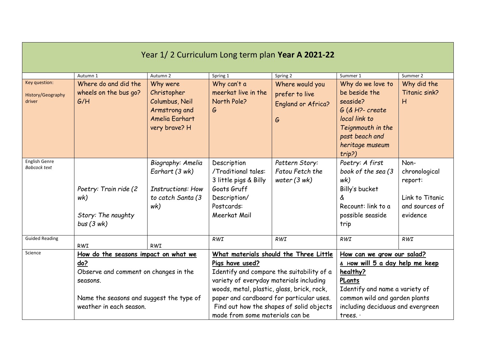| Autumn 1                                                                                                                                                                           | Autumn 2                                                                                    | Spring 1                                                                                                                 | Spring 2                                                    | Summer 1                                                                                                                                                                                                                                                                                                                   | Summer 2<br>Why did the                                                            |
|------------------------------------------------------------------------------------------------------------------------------------------------------------------------------------|---------------------------------------------------------------------------------------------|--------------------------------------------------------------------------------------------------------------------------|-------------------------------------------------------------|----------------------------------------------------------------------------------------------------------------------------------------------------------------------------------------------------------------------------------------------------------------------------------------------------------------------------|------------------------------------------------------------------------------------|
| wheels on the bus go?<br>G/H                                                                                                                                                       | Christopher<br>Columbus, Neil<br>Armstrong and<br>Amelia Earhart<br>very brave? H           | meerkat live in the<br>North Pole?<br>G                                                                                  | prefer to live<br><b>England or Africa?</b><br>G            | be beside the<br>seaside?<br>$G$ (& H?- create<br>local link to<br>Teignmouth in the<br>past beach and<br>heritage museum<br>trip?)                                                                                                                                                                                        | Titanic sink?<br>H                                                                 |
| Poetry: Train ride (2<br>wk)<br>Story: The naughty<br>bus(3 wk)                                                                                                                    | Biography: Amelia<br>Earhart (3 wk)<br><b>Instructions: How</b><br>to catch Santa (3<br>wk) | Description<br>/Traditional tales:<br>3 little pigs & Billy<br>Goats Gruff<br>Description/<br>Postcards:<br>Meerkat Mail | Pattern Story:<br>Fatou Fetch the<br>water $(3 \text{ wk})$ | Poetry: A first<br>book of the sea (3<br>wk)<br>Billy's bucket<br>å<br>Recount: link to a<br>possible seaside<br>trip                                                                                                                                                                                                      | Non-<br>chronological<br>report:<br>Link to Titanic<br>and sources of<br>evidence  |
| <b>RWI</b>                                                                                                                                                                         | <b>RWI</b>                                                                                  | RWI                                                                                                                      | <b>RWI</b>                                                  | <b>RWI</b>                                                                                                                                                                                                                                                                                                                 | <b>RWI</b>                                                                         |
| Science<br>How do the seasons impact on what we<br>do?<br>Observe and comment on changes in the<br>seasons.<br>Name the seasons and suggest the type of<br>weather in each season. |                                                                                             | Pigs have used?                                                                                                          |                                                             | How can we grow our salad?<br>& How will 5 a day help me keep<br>healthy?<br>PLants<br>Identify and name a variety of<br>common wild and garden plants<br>including deciduous and evergreen                                                                                                                                |                                                                                    |
|                                                                                                                                                                                    | Where do and did the                                                                        | Why were                                                                                                                 | Why can't a                                                 | Where would you<br>What materials should the Three Little<br>Identify and compare the suitability of a<br>variety of everyday materials including<br>woods, metal, plastic, glass, brick, rock,<br>paper and cardboard for particular uses.<br>Find out how the shapes of solid objects<br>made from some materials can be | Year 1/2 Curriculum Long term plan Year A 2021-22<br>Why do we love to<br>trees. . |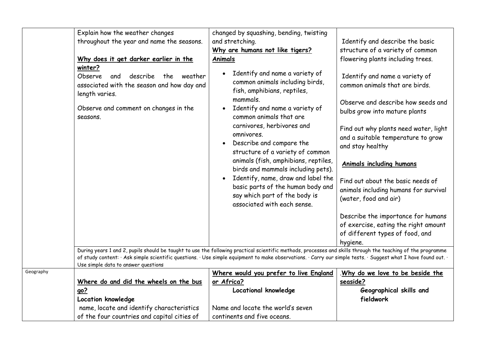|           | Explain how the weather changes                                                                                                                                                                                                                                                                                                                                      | changed by squashing, bending, twisting                                                                                                                                                                                                                                                                                                                             |                                                                                                                                                                                                                                                                        |
|-----------|----------------------------------------------------------------------------------------------------------------------------------------------------------------------------------------------------------------------------------------------------------------------------------------------------------------------------------------------------------------------|---------------------------------------------------------------------------------------------------------------------------------------------------------------------------------------------------------------------------------------------------------------------------------------------------------------------------------------------------------------------|------------------------------------------------------------------------------------------------------------------------------------------------------------------------------------------------------------------------------------------------------------------------|
|           | throughout the year and name the seasons.                                                                                                                                                                                                                                                                                                                            | and stretching.                                                                                                                                                                                                                                                                                                                                                     | Identify and describe the basic                                                                                                                                                                                                                                        |
|           |                                                                                                                                                                                                                                                                                                                                                                      | Why are humans not like tigers?                                                                                                                                                                                                                                                                                                                                     | structure of a variety of common                                                                                                                                                                                                                                       |
|           | Why does it get darker earlier in the                                                                                                                                                                                                                                                                                                                                | Animals                                                                                                                                                                                                                                                                                                                                                             | flowering plants including trees.                                                                                                                                                                                                                                      |
|           | winter?<br>Observe<br>describe<br>weather<br>and<br>the.<br>associated with the season and how day and<br>length varies.<br>Observe and comment on changes in the<br>seasons.                                                                                                                                                                                        | Identify and name a variety of<br>common animals including birds,<br>fish, amphibians, reptiles,<br>mammals.<br>Identify and name a variety of<br>common animals that are<br>carnivores, herbivores and<br>omnivores.<br>Describe and compare the<br>structure of a variety of common<br>animals (fish, amphibians, reptiles,<br>birds and mammals including pets). | Identify and name a variety of<br>common animals that are birds.<br>Observe and describe how seeds and<br>bulbs grow into mature plants<br>Find out why plants need water, light<br>and a suitable temperature to grow<br>and stay healthy<br>Animals including humans |
|           |                                                                                                                                                                                                                                                                                                                                                                      | Identify, name, draw and label the<br>$\bullet$<br>basic parts of the human body and<br>say which part of the body is<br>associated with each sense.                                                                                                                                                                                                                | Find out about the basic needs of<br>animals including humans for survival<br>(water, food and air)                                                                                                                                                                    |
|           |                                                                                                                                                                                                                                                                                                                                                                      |                                                                                                                                                                                                                                                                                                                                                                     | Describe the importance for humans                                                                                                                                                                                                                                     |
|           |                                                                                                                                                                                                                                                                                                                                                                      |                                                                                                                                                                                                                                                                                                                                                                     | of exercise, eating the right amount                                                                                                                                                                                                                                   |
|           |                                                                                                                                                                                                                                                                                                                                                                      |                                                                                                                                                                                                                                                                                                                                                                     | of different types of food, and                                                                                                                                                                                                                                        |
|           |                                                                                                                                                                                                                                                                                                                                                                      |                                                                                                                                                                                                                                                                                                                                                                     | hygiene.                                                                                                                                                                                                                                                               |
|           | During years 1 and 2, pupils should be taught to use the following practical scientific methods, processes and skills through the teaching of the programme<br>of study content: · Ask simple scientific questions. · Use simple equipment to make observations. · Carry our simple tests. · Suggest what I have found out. ·<br>Use simple data to answer questions |                                                                                                                                                                                                                                                                                                                                                                     |                                                                                                                                                                                                                                                                        |
| Geography |                                                                                                                                                                                                                                                                                                                                                                      | Where would you prefer to live England                                                                                                                                                                                                                                                                                                                              | .Why do we love to be beside the                                                                                                                                                                                                                                       |
|           | Where do and did the wheels on the bus                                                                                                                                                                                                                                                                                                                               | or Africa?                                                                                                                                                                                                                                                                                                                                                          | seaside?                                                                                                                                                                                                                                                               |
|           | <u>go?</u>                                                                                                                                                                                                                                                                                                                                                           | Locational knowledge                                                                                                                                                                                                                                                                                                                                                | Geographical skills and                                                                                                                                                                                                                                                |
|           | Location knowledge                                                                                                                                                                                                                                                                                                                                                   |                                                                                                                                                                                                                                                                                                                                                                     | fieldwork                                                                                                                                                                                                                                                              |
|           | name, locate and identify characteristics                                                                                                                                                                                                                                                                                                                            | Name and locate the world's seven                                                                                                                                                                                                                                                                                                                                   |                                                                                                                                                                                                                                                                        |
|           | of the four countries and capital cities of                                                                                                                                                                                                                                                                                                                          | continents and five oceans.                                                                                                                                                                                                                                                                                                                                         |                                                                                                                                                                                                                                                                        |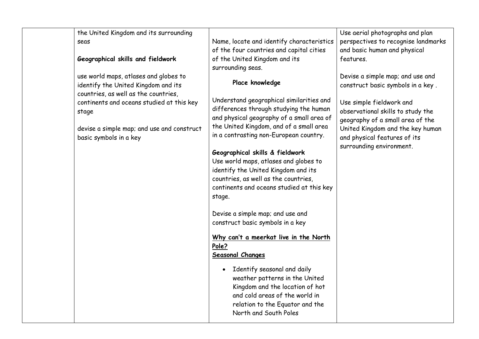the United Kingdom and its surrounding seas

### **Geographical skills and fieldwork**

use world maps, atlases and globes to identify the United Kingdom and its countries, as well as the countries, continents and oceans studied at this key stage

devise a simple map; and use and construct basic symbols in a key

Name, locate and identify characteristics of the four countries and capital cities of the United Kingdom and its surrounding seas.

# **Place knowledge**

ı

Understand geographical similarities and differences through studying the human and physical geography of a small area of the United Kingdom, and of a small area in a contrasting non-European country.

# **Geographical skills & fieldwork**

Use world maps, atlases and globes to identify the United Kingdom and its countries, as well as the countries, continents and oceans studied at this key stage.

Devise a simple map; and use and construct basic symbols in a key

#### **Why can't a meerkat live in the North Pole? Seasonal Changes**

• Identify seasonal and daily weather patterns in the United Kingdom and the location of hot and cold areas of the world in relation to the Equator and the North and South Poles

Use aerial photographs and plan perspectives to recognise landmarks and basic human and physical features.

Devise a simple map; and use and construct basic symbols in a key .

Use simple fieldwork and observational skills to study the geography of a small area of the United Kingdom and the key human and physical features of its surrounding environment.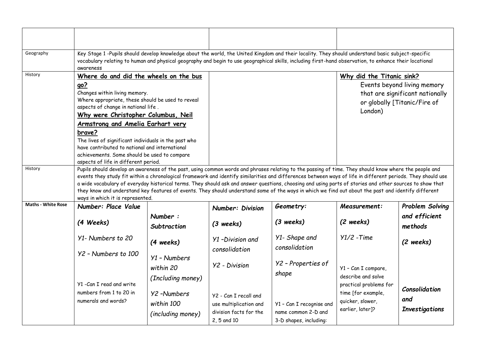| Geography                 | Key Stage 1 -Pupils should develop knowledge about the world, the United Kingdom and their locality. They should understand basic subject-specific<br>vocabulary relating to human and physical geography and begin to use geographical skills, including first-hand observation, to enhance their locational<br>awareness                                                                                                                                                                                                                                                                                                                                                  |                                                      |                                                                                          |                                                                           |                                                                                      |                                                                                                |
|---------------------------|-----------------------------------------------------------------------------------------------------------------------------------------------------------------------------------------------------------------------------------------------------------------------------------------------------------------------------------------------------------------------------------------------------------------------------------------------------------------------------------------------------------------------------------------------------------------------------------------------------------------------------------------------------------------------------|------------------------------------------------------|------------------------------------------------------------------------------------------|---------------------------------------------------------------------------|--------------------------------------------------------------------------------------|------------------------------------------------------------------------------------------------|
| History                   | Where do and did the wheels on the bus<br><u>go?</u><br>Changes within living memory.<br>Where appropriate, these should be used to reveal<br>aspects of change in national life.<br>Why were Christopher Columbus, Neil                                                                                                                                                                                                                                                                                                                                                                                                                                                    |                                                      |                                                                                          |                                                                           | Why did the Titanic sink?<br>London)                                                 | Events beyond living memory<br>that are significant nationally<br>or globally [Titanic/Fire of |
|                           | <b>Armstrong and Amelia Earhart very</b><br>brave?<br>The lives of significant individuals in the past who<br>have contributed to national and international<br>achievements. Some should be used to compare<br>aspects of life in different period.                                                                                                                                                                                                                                                                                                                                                                                                                        |                                                      |                                                                                          |                                                                           |                                                                                      |                                                                                                |
| History                   | Pupils should develop an awareness of the past, using common words and phrases relating to the passing of time. They should know where the people and<br>events they study fit within a chronological framework and identify similarities and differences between ways of life in different periods. They should use<br>a wide vocabulary of everyday historical terms. They should ask and answer questions, choosing and using parts of stories and other sources to show that<br>they know and understand key features of events. They should understand some of the ways in which we find out about the past and identify different<br>ways in which it is represented. |                                                      |                                                                                          |                                                                           |                                                                                      |                                                                                                |
| <b>Maths - White Rose</b> | Number: Place Value                                                                                                                                                                                                                                                                                                                                                                                                                                                                                                                                                                                                                                                         |                                                      | <b>Number: Division</b>                                                                  | Geometry:                                                                 | Measurement:                                                                         | Problem Solving                                                                                |
|                           | (4 Weeks)                                                                                                                                                                                                                                                                                                                                                                                                                                                                                                                                                                                                                                                                   | Number:<br>Subtraction                               | $(3 \text{ weeks})$                                                                      | $(3 \text{ weeks})$                                                       | (2 weeks)                                                                            | and efficient<br>methods                                                                       |
|                           | Y1- Numbers to 20                                                                                                                                                                                                                                                                                                                                                                                                                                                                                                                                                                                                                                                           | (4 weeks)                                            | Y1-Division and<br>consolidation                                                         | Y1- Shape and<br>consolidation                                            | $Y1/2$ -Time                                                                         | $(2 \text{ weeks})$                                                                            |
|                           | Y2 - Numbers to 100                                                                                                                                                                                                                                                                                                                                                                                                                                                                                                                                                                                                                                                         | $Y1$ - Numbers<br>within 20<br>(Including money)     | <b>Y2</b> - Division                                                                     | Y2 - Properties of<br>shape                                               | Y1 - Can I compare,<br>describe and solve                                            |                                                                                                |
|                           | Y1 - Can I read and write<br>numbers from 1 to 20 in<br>numerals and words?                                                                                                                                                                                                                                                                                                                                                                                                                                                                                                                                                                                                 | <b>Y2-Numbers</b><br>within 100<br>(including money) | Y2 - Can I recall and<br>use multiplication and<br>division facts for the<br>2, 5 and 10 | Y1 - Can I recognise and<br>name common 2-D and<br>3-D shapes, including: | practical problems for<br>time [for example,<br>quicker, slower,<br>earlier, later]? | Consolidation<br>and<br><b>Investigations</b>                                                  |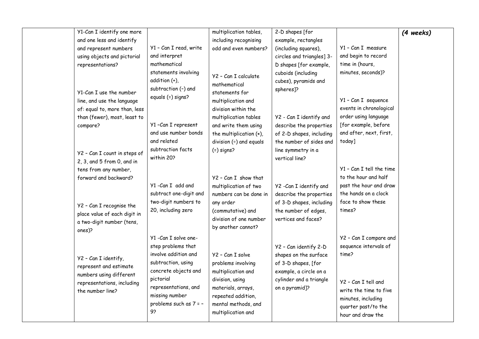| Y1-Can I identify one more                                                |                                                                                          | multiplication tables,                                                                                   | 2-D shapes [for                                                                                 |                                                                                                                 | (4 weeks) |
|---------------------------------------------------------------------------|------------------------------------------------------------------------------------------|----------------------------------------------------------------------------------------------------------|-------------------------------------------------------------------------------------------------|-----------------------------------------------------------------------------------------------------------------|-----------|
| and one less and identify                                                 |                                                                                          | including recognising                                                                                    | example, rectangles                                                                             |                                                                                                                 |           |
| and represent numbers                                                     | Y1 - Can I read, write                                                                   | odd and even numbers?                                                                                    | (including squares),                                                                            | Y1 - Can I measure                                                                                              |           |
| using objects and pictorial                                               | and interpret                                                                            |                                                                                                          | circles and triangles] 3-                                                                       | and begin to record                                                                                             |           |
| representations?                                                          | mathematical                                                                             |                                                                                                          | D shapes [for example,                                                                          | time in (hours,                                                                                                 |           |
| Y1-Can I use the number<br>line, and use the language                     | statements involving<br>addition (+),<br>subtraction (-) and<br>equals (=) signs?        | Y2 - Can I calculate<br>mathematical<br>statements for<br>multiplication and                             | cuboids (including<br>cubes), pyramids and<br>spheres]?                                         | minutes, seconds)?<br>Y1 - Can I sequence                                                                       |           |
| of: equal to, more than, less                                             |                                                                                          | division within the                                                                                      |                                                                                                 | events in chronological                                                                                         |           |
| than (fewer), most, least to                                              |                                                                                          | multiplication tables                                                                                    | Y2 - Can I identify and                                                                         | order using language                                                                                            |           |
| compare?                                                                  | Y1-Can I represent                                                                       | and write them using                                                                                     | describe the properties                                                                         | [for example, before                                                                                            |           |
|                                                                           | and use number bonds                                                                     | the multiplication (x),                                                                                  | of 2-D shapes, including                                                                        | and after, next, first,                                                                                         |           |
|                                                                           | and related                                                                              | division $(+)$ and equals                                                                                | the number of sides and                                                                         | today]                                                                                                          |           |
| Y2 - Can I count in steps of<br>$2, 3,$ and $5$ from $0$ , and in         | subtraction facts<br>within 20?                                                          | $( = )$ signs?                                                                                           | line symmetry in a<br>vertical line?                                                            |                                                                                                                 |           |
| tens from any number,                                                     |                                                                                          |                                                                                                          |                                                                                                 | Y1 - Can I tell the time                                                                                        |           |
| forward and backward?                                                     |                                                                                          | Y2 - Can I show that                                                                                     |                                                                                                 | to the hour and half                                                                                            |           |
|                                                                           | Y1-Can I add and                                                                         | multiplication of two                                                                                    | Y2 -Can I identify and                                                                          | past the hour and draw                                                                                          |           |
|                                                                           | subtract one-digit and                                                                   | numbers can be done in                                                                                   | describe the properties                                                                         | the hands on a clock                                                                                            |           |
|                                                                           | two-digit numbers to                                                                     | any order                                                                                                | of 3-D shapes, including                                                                        | face to show these                                                                                              |           |
| Y2 - Can I recognise the                                                  | 20, including zero                                                                       | (commutative) and                                                                                        | the number of edges,                                                                            | times?                                                                                                          |           |
| place value of each digit in                                              |                                                                                          | division of one number                                                                                   | vertices and faces?                                                                             |                                                                                                                 |           |
| a two-digit number (tens,<br>ones)?                                       |                                                                                          | by another cannot?                                                                                       |                                                                                                 |                                                                                                                 |           |
|                                                                           | Y1 - Can I solve one-                                                                    |                                                                                                          |                                                                                                 | Y2 - Can I compare and                                                                                          |           |
| Y2 - Can I identify,<br>represent and estimate                            | step problems that<br>involve addition and<br>subtraction, using<br>concrete objects and | Y2 - Can I solve<br>problems involving<br>multiplication and                                             | Y2 - Can identify 2-D<br>shapes on the surface<br>of 3-D shapes, [for<br>example, a circle on a | sequence intervals of<br>time?                                                                                  |           |
| numbers using different<br>representations, including<br>the number line? | pictorial<br>representations, and<br>missing number<br>problems such as 7 = -<br>9?      | division, using<br>materials, arrays,<br>repeated addition,<br>mental methods, and<br>multiplication and | cylinder and a triangle<br>on a pyramid]?                                                       | Y2 - Can I tell and<br>write the time to five<br>minutes, including<br>quarter past/to the<br>hour and draw the |           |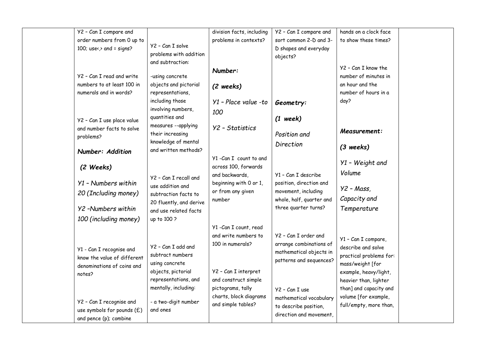| Y2 - Can I compare and       |                                                  | division facts, including | Y2 - Can I compare and   | hands on a clock face   |  |
|------------------------------|--------------------------------------------------|---------------------------|--------------------------|-------------------------|--|
| order numbers from 0 up to   |                                                  | problems in contexts?     | sort common 2-D and 3-   | to show these times?    |  |
| 100; use< $\ge$ and = signs? | Y2 - Can I solve                                 |                           | D shapes and everyday    |                         |  |
|                              | problems with addition                           |                           | objects?                 |                         |  |
|                              | and subtraction:                                 |                           |                          | Y2 - Can I know the     |  |
|                              |                                                  | Number:                   |                          |                         |  |
| Y2 - Can I read and write    | -using concrete                                  |                           |                          | number of minutes in    |  |
| numbers to at least 100 in   | objects and pictorial                            | (2 weeks)                 |                          | an hour and the         |  |
| numerals and in words?       | representations,                                 |                           |                          | number of hours in a    |  |
|                              | including those                                  | $Y1$ - Place value -to    | Geometry:                | day?                    |  |
|                              | involving numbers,                               | 100                       |                          |                         |  |
| Y2 - Can I use place value   | quantities and                                   |                           | $(1$ week)               |                         |  |
| and number facts to solve    | measures --applying                              | Y2 - Statistics           |                          |                         |  |
| problems?                    | their increasing                                 |                           | Position and             | Measurement:            |  |
|                              | knowledge of mental                              |                           | Direction                |                         |  |
| Number: Addition             | and written methods?                             |                           |                          | $(3$ weeks)             |  |
|                              |                                                  | Y1-Can I count to and     |                          | Y1 - Weight and         |  |
| (2 Weeks)                    |                                                  | across 100, forwards      |                          |                         |  |
|                              | Y2 - Can I recall and                            | and backwards,            | Y1 - Can I describe      | Volume                  |  |
| Y1 - Numbers within          | use addition and                                 | beginning with 0 or 1,    | position, direction and  |                         |  |
| 20 (Including money)         | subtraction facts to                             | or from any given         | movement, including      | $Y2 - Mass$ ,           |  |
|                              |                                                  | number                    | whole, half, quarter and | Capacity and            |  |
| Y2 -Numbers within           | 20 fluently, and derive<br>and use related facts |                           | three quarter turns?     | Temperature             |  |
|                              |                                                  |                           |                          |                         |  |
| 100 (including money)        | up to 100 ?                                      |                           |                          |                         |  |
|                              |                                                  | Y1 - Can I count, read    |                          |                         |  |
|                              |                                                  | and write numbers to      | Y2 - Can I order and     | Y1 - Can I compare,     |  |
| Y1 - Can I recognise and     | Y2 - Can I add and                               | 100 in numerals?          | arrange combinations of  | describe and solve      |  |
| know the value of different  | subtract numbers                                 |                           | mathematical objects in  | practical problems for: |  |
|                              | using concrete                                   |                           | patterns and sequences?  | mass/weight [for        |  |
| denominations of coins and   | objects, pictorial                               | Y2 - Can I interpret      |                          | example, heavy/light,   |  |
| notes?                       | representations, and                             | and construct simple      |                          | heavier than, lighter   |  |
|                              | mentally, including:                             | pictograms, tally         |                          | than] and capacity and  |  |
|                              |                                                  | charts, block diagrams    | Y2 - Can I use           | volume [for example,    |  |
| Y2 - Can I recognise and     | - a two-digit number                             | and simple tables?        | mathematical vocabulary  | full/empty, more than,  |  |
| use symbols for pounds (£)   | and ones                                         |                           | to describe position,    |                         |  |
| and pence (p); combine       |                                                  |                           | direction and movement,  |                         |  |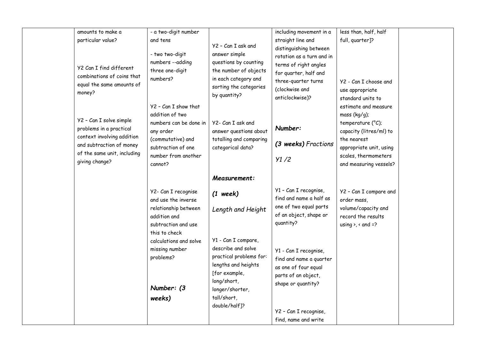| amounts to make a           | - a two-digit number   |                                        | including movement in a   | less than, half, half                |  |
|-----------------------------|------------------------|----------------------------------------|---------------------------|--------------------------------------|--|
| particular value?           | and tens               | Y2 - Can I ask and                     | straight line and         | full, quarter]?                      |  |
|                             | - two two-digit        | answer simple                          | distinguishing between    |                                      |  |
|                             | numbers --adding       | questions by counting                  | rotation as a turn and in |                                      |  |
| Y2 Can I find different     |                        |                                        | terms of right angles     |                                      |  |
| combinations of coins that  | three one-digit        | the number of objects                  | for quarter, half and     |                                      |  |
| equal the same amounts of   | numbers?               | in each category and                   | three-quarter turns       | Y2 - Can I choose and                |  |
| money?                      |                        | sorting the categories<br>by quantity? | (clockwise and            | use appropriate                      |  |
|                             |                        |                                        | anticlockwise)?           | standard units to                    |  |
|                             | Y2 - Can I show that   |                                        |                           | estimate and measure                 |  |
|                             | addition of two        |                                        |                           | mass $(kg/g)$ ;                      |  |
| Y2 - Can I solve simple     | numbers can be done in | Y2- Can I ask and                      |                           | temperature $(^{\circ}C)$ ;          |  |
| problems in a practical     | any order              | answer questions about                 | Number:                   | capacity (litres/ml) to              |  |
| context involving addition  | (commutative) and      | totalling and comparing                | (3 weeks) Fractions       | the nearest                          |  |
| and subtraction of money    | subtraction of one     | categorical data?                      |                           | appropriate unit, using              |  |
| of the same unit, including | number from another    |                                        | Y1/2                      | scales, thermometers                 |  |
| giving change?              | cannot?                |                                        |                           | and measuring vessels?               |  |
|                             |                        | Measurement:                           |                           |                                      |  |
|                             |                        |                                        |                           |                                      |  |
|                             | Y2- Can I recognise    | $(1 \text{ week})$                     | Y1 - Can I recognise,     | Y2 - Can I compare and               |  |
|                             | and use the inverse    |                                        | find and name a half as   | order mass,                          |  |
|                             | relationship between   | Length and Height                      | one of two equal parts    | volume/capacity and                  |  |
|                             | addition and           |                                        | of an object, shape or    | record the results                   |  |
|                             | subtraction and use    |                                        | quantity?                 | using $\lambda$ , $\alpha$ and $=$ ? |  |
|                             | this to check          |                                        |                           |                                      |  |
|                             | calculations and solve | Y1 - Can I compare,                    |                           |                                      |  |
|                             | missing number         | describe and solve                     | Y1 - Can I recognise,     |                                      |  |
|                             | problems?              | practical problems for:                | find and name a quarter   |                                      |  |
|                             |                        | lengths and heights                    | as one of four equal      |                                      |  |
|                             |                        | [for example,                          | parts of an object,       |                                      |  |
|                             |                        | long/short,                            | shape or quantity?        |                                      |  |
|                             | Number: (3             | longer/shorter,                        |                           |                                      |  |
|                             | weeks)                 | tall/short,                            |                           |                                      |  |
|                             |                        | double/half]?                          |                           |                                      |  |
|                             |                        |                                        | Y2 - Can I recognise,     |                                      |  |
|                             |                        |                                        | find, name and write      |                                      |  |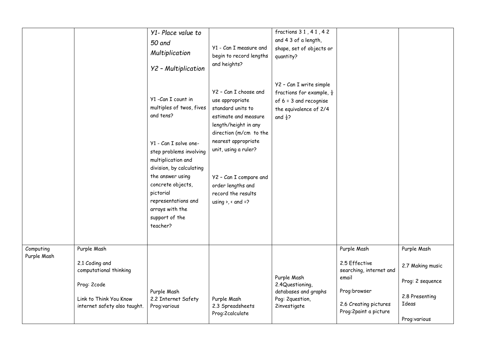|                          |                                                                                                                   | Y1- Place value to<br>50 and<br>Multiplication<br>Y2 - Multiplication<br>Y1 - Can I count in<br>multiples of twos, fives<br>and tens?<br>Y1 - Can I solve one-<br>step problems involving<br>multiplication and<br>division, by calculating<br>the answer using<br>concrete objects,<br>pictorial<br>representations and<br>arrays with the<br>support of the<br>teacher? | Y1 - Can I measure and<br>begin to record lengths<br>and heights?<br>Y2 - Can I choose and<br>use appropriate<br>standard units to<br>estimate and measure<br>length/height in any<br>direction (m/cm to the<br>nearest appropriate<br>unit, using a ruler?<br>Y2 - Can I compare and<br>order lengths and<br>record the results<br>using $\lambda$ , $\alpha$ and =? | fractions 31, 41, 42<br>and 4 3 of a length,<br>shape, set of objects or<br>quantity?<br>Y2 - Can I write simple<br>fractions for example, $\frac{1}{2}$<br>of $6 = 3$ and recognise<br>the equivalence of 2/4<br>and $\frac{1}{2}$ ? |                                                                                                                      |                                                                                 |
|--------------------------|-------------------------------------------------------------------------------------------------------------------|---------------------------------------------------------------------------------------------------------------------------------------------------------------------------------------------------------------------------------------------------------------------------------------------------------------------------------------------------------------------------|-----------------------------------------------------------------------------------------------------------------------------------------------------------------------------------------------------------------------------------------------------------------------------------------------------------------------------------------------------------------------|---------------------------------------------------------------------------------------------------------------------------------------------------------------------------------------------------------------------------------------|----------------------------------------------------------------------------------------------------------------------|---------------------------------------------------------------------------------|
| Computing<br>Purple Mash | Purple Mash                                                                                                       |                                                                                                                                                                                                                                                                                                                                                                           |                                                                                                                                                                                                                                                                                                                                                                       |                                                                                                                                                                                                                                       | Purple Mash                                                                                                          | Purple Mash                                                                     |
|                          | 2.1 Coding and<br>computational thinking<br>Prog: 2code<br>Link to Think You Know<br>internet safety also taught. | Purple Mash<br>2.2 Internet Safety<br>Prog:various                                                                                                                                                                                                                                                                                                                        | Purple Mash<br>2.3 Spreadsheets<br>Prog:2calculate                                                                                                                                                                                                                                                                                                                    | Purple Mash<br>2.4Questioning,<br>databases and graphs<br>Pog: 2question,<br>2investigate                                                                                                                                             | 2.5 Effective<br>searching, internet and<br>email<br>Prog:browser<br>2.6 Creating pictures<br>Prog: 2paint a picture | 2.7 Making music<br>Prog: 2 sequence<br>2.8 Presenting<br>Ideas<br>Prog:various |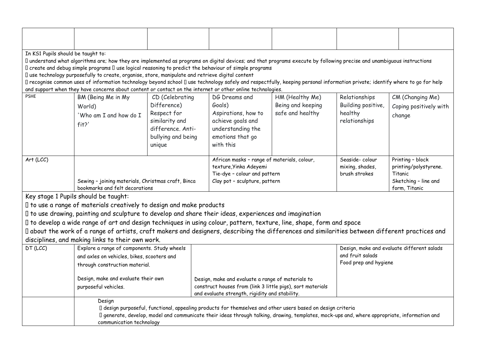| In KS1 Pupils should be taught to: |                                                                                                                                                                                                             |                                                                                           |  |                                                   |                                                                                                                                                                                                                                                             |                       |                                            |
|------------------------------------|-------------------------------------------------------------------------------------------------------------------------------------------------------------------------------------------------------------|-------------------------------------------------------------------------------------------|--|---------------------------------------------------|-------------------------------------------------------------------------------------------------------------------------------------------------------------------------------------------------------------------------------------------------------------|-----------------------|--------------------------------------------|
|                                    | I understand what algorithms are; how they are implemented as programs on digital devices; and that programs execute by following precise and unambiguous instructions                                      |                                                                                           |  |                                                   |                                                                                                                                                                                                                                                             |                       |                                            |
|                                    | I create and debug simple programs I use logical reasoning to predict the behaviour of simple programs<br>I use technology purposefully to create, organise, store, manipulate and retrieve digital content |                                                                                           |  |                                                   |                                                                                                                                                                                                                                                             |                       |                                            |
|                                    | I recognise common uses of information technology beyond school I use technology safely and respectfully, keeping personal information private; identify where to go for help                               |                                                                                           |  |                                                   |                                                                                                                                                                                                                                                             |                       |                                            |
|                                    | and support when they have concerns about content or contact on the internet or other online technologies.                                                                                                  |                                                                                           |  |                                                   |                                                                                                                                                                                                                                                             |                       |                                            |
| <b>PSHE</b>                        | BM (Being Me in My                                                                                                                                                                                          | CD (Celebrating                                                                           |  | DG Dreams and                                     | HM (Healthy Me)                                                                                                                                                                                                                                             | Relationships         | CM (Changing Me)                           |
|                                    | World)                                                                                                                                                                                                      | Difference)                                                                               |  | Goals)                                            | Being and keeping                                                                                                                                                                                                                                           | Building positive,    | Coping positively with                     |
|                                    | 'Who am I and how do I                                                                                                                                                                                      | Respect for                                                                               |  | Aspirations, how to                               | safe and healthy                                                                                                                                                                                                                                            | healthy               | change                                     |
|                                    | fit?                                                                                                                                                                                                        | similarity and                                                                            |  | achieve goals and                                 |                                                                                                                                                                                                                                                             | relationships         |                                            |
|                                    |                                                                                                                                                                                                             | difference. Anti-                                                                         |  | understanding the                                 |                                                                                                                                                                                                                                                             |                       |                                            |
|                                    |                                                                                                                                                                                                             | bullying and being                                                                        |  | emotions that go                                  |                                                                                                                                                                                                                                                             |                       |                                            |
|                                    |                                                                                                                                                                                                             | unique                                                                                    |  | with this                                         |                                                                                                                                                                                                                                                             |                       |                                            |
| Art (LCC)                          |                                                                                                                                                                                                             |                                                                                           |  | African masks - range of materials, colour,       |                                                                                                                                                                                                                                                             | Seaside-colour        | Printing - block                           |
|                                    |                                                                                                                                                                                                             |                                                                                           |  | texture, Yinka Adeyemi                            |                                                                                                                                                                                                                                                             | mixing, shades,       | printing/polystyrene.                      |
|                                    |                                                                                                                                                                                                             |                                                                                           |  | Tie-dye - colour and pattern                      |                                                                                                                                                                                                                                                             | brush strokes         | Titanic                                    |
|                                    | Sewing - joining materials, Christmas craft, Binca                                                                                                                                                          |                                                                                           |  | Clay pot - sculpture, pattern                     |                                                                                                                                                                                                                                                             |                       | Sketching - line and                       |
|                                    | bookmarks and felt decorations                                                                                                                                                                              |                                                                                           |  |                                                   |                                                                                                                                                                                                                                                             |                       | form, Titanic                              |
|                                    | Key stage 1 Pupils should be taught:                                                                                                                                                                        |                                                                                           |  |                                                   |                                                                                                                                                                                                                                                             |                       |                                            |
|                                    | I to use a range of materials creatively to design and make products                                                                                                                                        |                                                                                           |  |                                                   |                                                                                                                                                                                                                                                             |                       |                                            |
|                                    | I to use drawing, painting and sculpture to develop and share their ideas, experiences and imagination                                                                                                      |                                                                                           |  |                                                   |                                                                                                                                                                                                                                                             |                       |                                            |
|                                    | I to develop a wide range of art and design techniques in using colour, pattern, texture, line, shape, form and space                                                                                       |                                                                                           |  |                                                   |                                                                                                                                                                                                                                                             |                       |                                            |
|                                    | I about the work of a range of artists, craft makers and designers, describing the differences and similarities between different practices and                                                             |                                                                                           |  |                                                   |                                                                                                                                                                                                                                                             |                       |                                            |
| DT (LCC)                           | disciplines, and making links to their own work.                                                                                                                                                            |                                                                                           |  |                                                   |                                                                                                                                                                                                                                                             |                       | Design, make and evaluate different salads |
|                                    |                                                                                                                                                                                                             | Explore a range of components. Study wheels<br>and axles on vehicles, bikes, scooters and |  |                                                   | and fruit salads                                                                                                                                                                                                                                            |                       |                                            |
|                                    | through construction material.                                                                                                                                                                              |                                                                                           |  |                                                   |                                                                                                                                                                                                                                                             | Food prep and hygiene |                                            |
|                                    |                                                                                                                                                                                                             |                                                                                           |  |                                                   |                                                                                                                                                                                                                                                             |                       |                                            |
|                                    | Design, make and evaluate their own                                                                                                                                                                         |                                                                                           |  | Design, make and evaluate a range of materials to |                                                                                                                                                                                                                                                             |                       |                                            |
|                                    | purposeful vehicles.                                                                                                                                                                                        |                                                                                           |  |                                                   | construct houses from (link 3 little pigs), sort materials                                                                                                                                                                                                  |                       |                                            |
|                                    |                                                                                                                                                                                                             |                                                                                           |  | and evaluate strength, rigidity and stability.    |                                                                                                                                                                                                                                                             |                       |                                            |
|                                    | Design                                                                                                                                                                                                      |                                                                                           |  |                                                   |                                                                                                                                                                                                                                                             |                       |                                            |
|                                    |                                                                                                                                                                                                             |                                                                                           |  |                                                   | I design purposeful, functional, appealing products for themselves and other users based on design criteria<br>I generate, develop, model and communicate their ideas through talking, drawing, templates, mock-ups and, where appropriate, information and |                       |                                            |
|                                    | communication technology                                                                                                                                                                                    |                                                                                           |  |                                                   |                                                                                                                                                                                                                                                             |                       |                                            |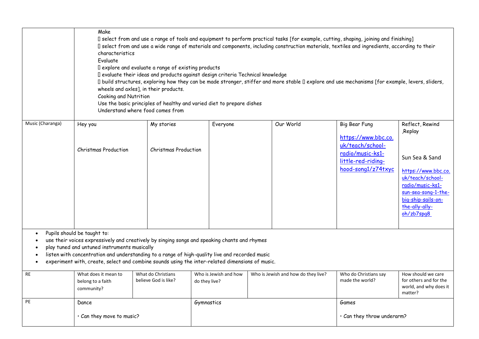|                             | Make<br>characteristics<br>Evaluate<br>Cooking and Nutrition                                                                                                                                                                                                                                                                                                                     | I explore and evaluate a range of existing products<br>wheels and axles], in their products.<br>Understand where food comes from | I evaluate their ideas and products against design criteria Technical knowledge<br>Use the basic principles of healthy and varied diet to prepare dishes | I select from and use a range of tools and equipment to perform practical tasks [for example, cutting, shaping, joining and finishing]<br>I select from and use a wide range of materials and components, including construction materials, textiles and ingredients, according to their<br>I build structures, exploring how they can be made stronger, stiffer and more stable I explore and use mechanisms [for example, levers, sliders, |                                                                                                                          |                                                                                                                                                                                          |
|-----------------------------|----------------------------------------------------------------------------------------------------------------------------------------------------------------------------------------------------------------------------------------------------------------------------------------------------------------------------------------------------------------------------------|----------------------------------------------------------------------------------------------------------------------------------|----------------------------------------------------------------------------------------------------------------------------------------------------------|----------------------------------------------------------------------------------------------------------------------------------------------------------------------------------------------------------------------------------------------------------------------------------------------------------------------------------------------------------------------------------------------------------------------------------------------|--------------------------------------------------------------------------------------------------------------------------|------------------------------------------------------------------------------------------------------------------------------------------------------------------------------------------|
| Music (Charanga)            | Hey you<br><b>Christmas Production</b>                                                                                                                                                                                                                                                                                                                                           | My stories<br><b>Christmas Production</b>                                                                                        | Everyone                                                                                                                                                 | Our World                                                                                                                                                                                                                                                                                                                                                                                                                                    | Big Bear Fung<br>https://www.bbc.co.<br>uk/teach/school-<br>radio/music-ks1-<br>little-red-riding-<br>hood-song1/z74txyc | Reflect, Rewind<br>Replay,<br>Sun Sea & Sand<br>https://www.bbc.co.<br>uk/teach/school-<br>radio/music-ks1-<br>sun-sea-song-1-the-<br>big-ship-sails-on-<br>the-ally-ally-<br>oh/zb7spq8 |
| $\bullet$<br>٠<br>$\bullet$ | Pupils should be taught to:<br>use their voices expressively and creatively by singing songs and speaking chants and rhymes<br>play tuned and untuned instruments musically<br>listen with concentration and understanding to a range of high-quality live and recorded music<br>experiment with, create, select and combine sounds using the inter-related dimensions of music. |                                                                                                                                  |                                                                                                                                                          |                                                                                                                                                                                                                                                                                                                                                                                                                                              |                                                                                                                          |                                                                                                                                                                                          |
| <b>RE</b>                   | What does it mean to<br>belong to a faith<br>community?                                                                                                                                                                                                                                                                                                                          | What do Christians<br>believe God is like?                                                                                       | Who is Jewish and how<br>do they live?                                                                                                                   | Who is Jewish and how do they live?                                                                                                                                                                                                                                                                                                                                                                                                          | Who do Christians say<br>made the world?                                                                                 | How should we care<br>for others and for the<br>world, and why does it<br>matter?                                                                                                        |
| PE                          | Dance<br>· Can they move to music?                                                                                                                                                                                                                                                                                                                                               |                                                                                                                                  | Gymnastics                                                                                                                                               |                                                                                                                                                                                                                                                                                                                                                                                                                                              | Games<br>· Can they throw underarm?                                                                                      |                                                                                                                                                                                          |
|                             |                                                                                                                                                                                                                                                                                                                                                                                  |                                                                                                                                  |                                                                                                                                                          |                                                                                                                                                                                                                                                                                                                                                                                                                                              |                                                                                                                          |                                                                                                                                                                                          |